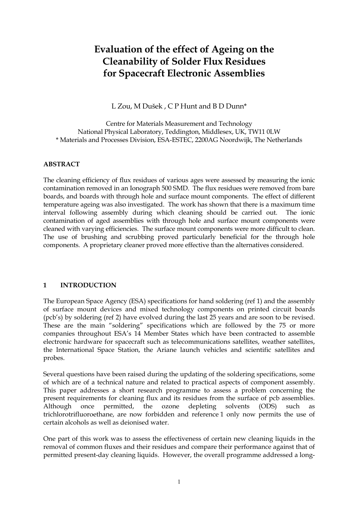# **Evaluation of the effect of Ageing on the Cleanability of Solder Flux Residues for Spacecraft Electronic Assemblies**

L Zou, M Dušek , C P Hunt and B D Dunn\*

Centre for Materials Measurement and Technology National Physical Laboratory, Teddington, Middlesex, UK, TW11 0LW \* Materials and Processes Division, ESA-ESTEC, 2200AG Noordwijk, The Netherlands

#### **ABSTRACT**

The cleaning efficiency of flux residues of various ages were assessed by measuring the ionic contamination removed in an Ionograph 500 SMD. The flux residues were removed from bare boards, and boards with through hole and surface mount components. The effect of different temperature ageing was also investigated. The work has shown that there is a maximum time interval following assembly during which cleaning should be carried out. The ionic contamination of aged assemblies with through hole and surface mount components were cleaned with varying efficiencies. The surface mount components were more difficult to clean. The use of brushing and scrubbing proved particularly beneficial for the through hole components. A proprietary cleaner proved more effective than the alternatives considered.

#### **1 INTRODUCTION**

The European Space Agency (ESA) specifications for hand soldering (ref 1) and the assembly of surface mount devices and mixed technology components on printed circuit boards (pcb's) by soldering (ref 2) have evolved during the last 25 years and are soon to be revised. These are the main "soldering" specifications which are followed by the 75 or more companies throughout ESA's 14 Member States which have been contracted to assemble electronic hardware for spacecraft such as telecommunications satellites, weather satellites, the International Space Station, the Ariane launch vehicles and scientific satellites and probes.

Several questions have been raised during the updating of the soldering specifications, some of which are of a technical nature and related to practical aspects of component assembly. This paper addresses a short research programme to assess a problem concerning the present requirements for cleaning flux and its residues from the surface of pcb assemblies. Although once permitted, the ozone depleting solvents (ODS) such as trichlorotrifluoroethane, are now forbidden and reference 1 only now permits the use of certain alcohols as well as deionised water.

One part of this work was to assess the effectiveness of certain new cleaning liquids in the removal of common fluxes and their residues and compare their performance against that of permitted present-day cleaning liquids. However, the overall programme addressed a long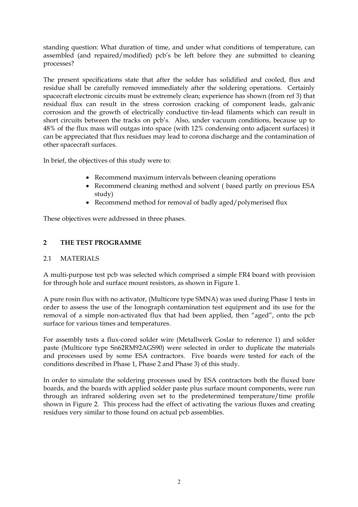standing question: What duration of time, and under what conditions of temperature, can assembled (and repaired/modified) pcb's be left before they are submitted to cleaning processes?

The present specifications state that after the solder has solidified and cooled, flux and residue shall be carefully removed immediately after the soldering operations. Certainly spacecraft electronic circuits must be extremely clean; experience has shown (from ref 3) that residual flux can result in the stress corrosion cracking of component leads, galvanic corrosion and the growth of electrically conductive tin-lead filaments which can result in short circuits between the tracks on pcb's. Also, under vacuum conditions, because up to 48% of the flux mass will outgas into space (with 12% condensing onto adjacent surfaces) it can be appreciated that flux residues may lead to corona discharge and the contamination of other spacecraft surfaces.

In brief, the objectives of this study were to:

- Recommend maximum intervals between cleaning operations
- Recommend cleaning method and solvent ( based partly on previous ESA study)
- Recommend method for removal of badly aged/polymerised flux

These objectives were addressed in three phases.

## **2 THE TEST PROGRAMME**

## 2.1 MATERIALS

A multi-purpose test pcb was selected which comprised a simple FR4 board with provision for through hole and surface mount resistors, as shown in Figure 1.

A pure rosin flux with no activator, (Multicore type SMNA) was used during Phase 1 tests in order to assess the use of the Ionograph contamination test equipment and its use for the removal of a simple non-activated flux that had been applied, then "aged", onto the pcb surface for various times and temperatures.

For assembly tests a flux-cored solder wire (Metallwerk Goslar to reference 1) and solder paste (Multicore type Sn62RM92AGS90) were selected in order to duplicate the materials and processes used by some ESA contractors. Five boards were tested for each of the conditions described in Phase 1, Phase 2 and Phase 3) of this study.

In order to simulate the soldering processes used by ESA contractors both the fluxed bare boards, and the boards with applied solder paste plus surface mount components, were run through an infrared soldering oven set to the predetermined temperature/time profile shown in Figure 2. This process had the effect of activating the various fluxes and creating residues very similar to those found on actual pcb assemblies.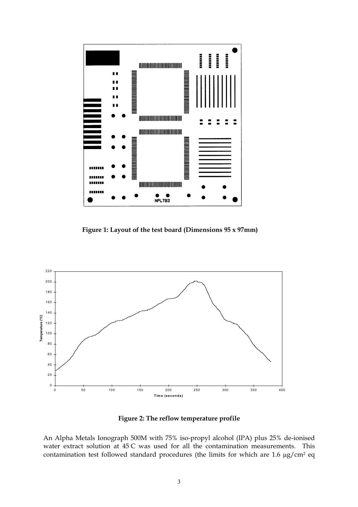

**Figure 1: Layout of the test board (Dimensions 95 x 97mm)** 



**Figure 2: The reflow temperature profile** 

An Alpha Metals Ionograph 500M with 75% iso-propyl alcohol (IPA) plus 25% de-ionised water extract solution at 45 C was used for all the contamination measurements. This contamination test followed standard procedures (the limits for which are 1.6 µg/cm2 eq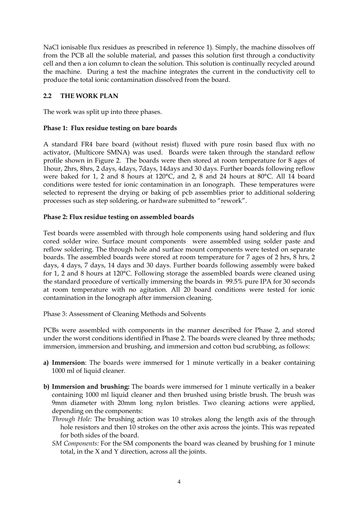NaCl ionisable flux residues as prescribed in reference 1). Simply, the machine dissolves off from the PCB all the soluble material, and passes this solution first through a conductivity cell and then a ion column to clean the solution. This solution is continually recycled around the machine. During a test the machine integrates the current in the conductivity cell to produce the total ionic contamination dissolved from the board.

# **2.2 THE WORK PLAN**

The work was split up into three phases.

## **Phase 1: Flux residue testing on bare boards**

A standard FR4 bare board (without resist) fluxed with pure rosin based flux with no activator, (Multicore SMNA) was used. Boards were taken through the standard reflow profile shown in Figure 2. The boards were then stored at room temperature for 8 ages of 1hour, 2hrs, 8hrs, 2 days, 4days, 7days, 14days and 30 days. Further boards following reflow were baked for 1, 2 and 8 hours at 120°C, and 2, 8 and 24 hours at 80°C. All 14 board conditions were tested for ionic contamination in an Ionograph. These temperatures were selected to represent the drying or baking of pcb assemblies prior to additional soldering processes such as step soldering, or hardware submitted to "rework".

## **Phase 2: Flux residue testing on assembled boards**

Test boards were assembled with through hole components using hand soldering and flux cored solder wire. Surface mount components were assembled using solder paste and reflow soldering. The through hole and surface mount components were tested on separate boards. The assembled boards were stored at room temperature for 7 ages of 2 hrs, 8 hrs, 2 days, 4 days, 7 days, 14 days and 30 days. Further boards following assembly were baked for 1, 2 and 8 hours at 120°C. Following storage the assembled boards were cleaned using the standard procedure of vertically immersing the boards in 99.5% pure IPA for 30 seconds at room temperature with no agitation. All 20 board conditions were tested for ionic contamination in the Ionograph after immersion cleaning.

Phase 3: Assessment of Cleaning Methods and Solvents

PCBs were assembled with components in the manner described for Phase 2, and stored under the worst conditions identified in Phase 2. The boards were cleaned by three methods; immersion, immersion and brushing, and immersion and cotton bud scrubbing, as follows:

- **a) Immersion**: The boards were immersed for 1 minute vertically in a beaker containing 1000 ml of liquid cleaner.
- **b) Immersion and brushing:** The boards were immersed for 1 minute vertically in a beaker containing 1000 ml liquid cleaner and then brushed using bristle brush. The brush was 9mm diameter with 20mm long nylon bristles. Two cleaning actions were applied, depending on the components:
	- *Through Hole:* The brushing action was 10 strokes along the length axis of the through hole resistors and then 10 strokes on the other axis across the joints. This was repeated for both sides of the board.
	- *SM Components:* For the SM components the board was cleaned by brushing for 1 minute total, in the X and Y direction, across all the joints.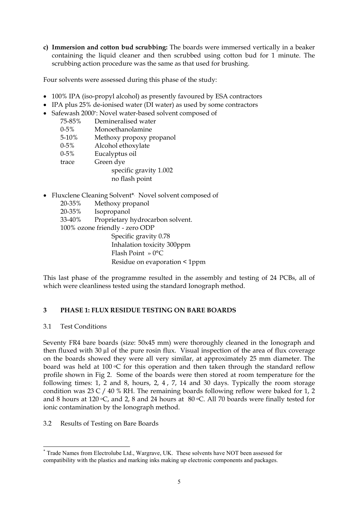**c) Immersion and cotton bud scrubbing:** The boards were immersed vertically in a beaker containing the liquid cleaner and then scrubbed using cotton bud for 1 minute. The scrubbing action procedure was the same as that used for brushing.

Four solvents were assessed during this phase of the study:

- 100% IPA (iso-propyl alcohol) as presently favoured by ESA contractors
- IPA plus 25% de-ionised water (DI water) as used by some contractors
- Safewash 2000\*: Novel water-based solvent composed of

| 75-85%    | Demineralised water      |
|-----------|--------------------------|
| $0 - 5\%$ | Monoethanolamine         |
| 5-10%     | Methoxy propoxy propanol |
| $0 - 5\%$ | Alcohol ethoxylate       |
| $0 - 5\%$ | Eucalyptus oil           |
| trace     | Green dye                |
|           | specific gravity 1.002   |
|           | no flash point           |

• Fluxclene Cleaning Solvent\*. Novel solvent composed of

20-35% Methoxy propanol 20-35% Isopropanol 33-40% Proprietary hydrocarbon solvent. 100% ozone friendly - zero ODP Specific gravity 0.78 • Inhalation toxicity 300ppm • Flash Point » 0°C

• Residue on evaporation < 1ppm

This last phase of the programme resulted in the assembly and testing of 24 PCBs, all of which were cleanliness tested using the standard Ionograph method.

# **3 PHASE 1: FLUX RESIDUE TESTING ON BARE BOARDS**

## 3.1 Test Conditions

Seventy FR4 bare boards (size: 50x45 mm) were thoroughly cleaned in the Ionograph and then fluxed with 30 µl of the pure rosin flux. Visual inspection of the area of flux coverage on the boards showed they were all very similar, at approximately 25 mm diameter. The board was held at 100  $\mathrm{C}$  for this operation and then taken through the standard reflow profile shown in Fig 2. Some of the boards were then stored at room temperature for the following times: 1, 2 and 8, hours, 2, 4 , 7, 14 and 30 days. Typically the room storage condition was 23 C / 40 % RH. The remaining boards following reflow were baked for 1, 2 and 8 hours at 120  $\circ$ C, and 2, 8 and 24 hours at 80  $\circ$ C. All 70 boards were finally tested for ionic contamination by the Ionograph method.

# 3.2 Results of Testing on Bare Boards

 $\overline{a}$ \* Trade Names from Electrolube Ltd., Wargrave, UK. These solvents have NOT been assessed for compatibility with the plastics and marking inks making up electronic components and packages.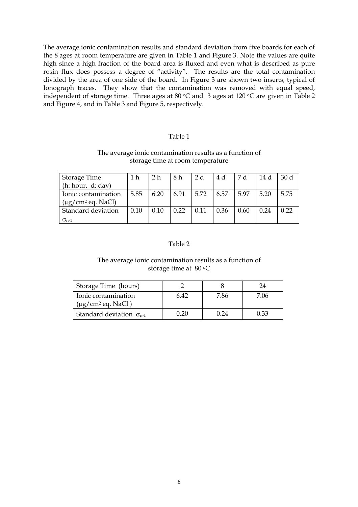The average ionic contamination results and standard deviation from five boards for each of the 8 ages at room temperature are given in Table 1 and Figure 3. Note the values are quite high since a high fraction of the board area is fluxed and even what is described as pure rosin flux does possess a degree of "activity". The results are the total contamination divided by the area of one side of the board. In Figure 3 are shown two inserts, typical of Ionograph traces. They show that the contamination was removed with equal speed, independent of storage time. Three ages at 80 °C and 3 ages at 120 °C are given in Table 2 and Figure 4, and in Table 3 and Figure 5, respectively.

#### Table 1

#### The average ionic contamination results as a function of storage time at room temperature

| Storage Time                       | 1 h  | 2 <sub>h</sub> | 8h   | 2 d  | 4 d  | 7 d         | 14 d | 30 <sub>d</sub> |
|------------------------------------|------|----------------|------|------|------|-------------|------|-----------------|
| (h: hour, d: day)                  |      |                |      |      |      |             |      |                 |
| Ionic contamination                | 5.85 | 6.20           | 6.91 | 5.72 | 6.57 | 5.97        | 5.20 | 5.75            |
| $(\mu$ g/cm <sup>2</sup> eq. NaCl) |      |                |      |      |      |             |      |                 |
| Standard deviation                 | 0.10 | 0.10           | 0.22 | 0.11 | 0.36 | $\mid$ 0.60 | 0.24 | 0.22            |
| $\sigma_{n-1}$                     |      |                |      |      |      |             |      |                 |

## Table 2

#### The average ionic contamination results as a function of storage time at 80 °C

| Storage Time (hours)                                      |      |      |       |
|-----------------------------------------------------------|------|------|-------|
| Ionic contamination<br>$(\mu$ g/cm <sup>2</sup> eq. NaCl) | 6 42 | 86   | ′ ()6 |
| Standard deviation $\sigma_{n-1}$                         | -20  | 1 24 | በ 33  |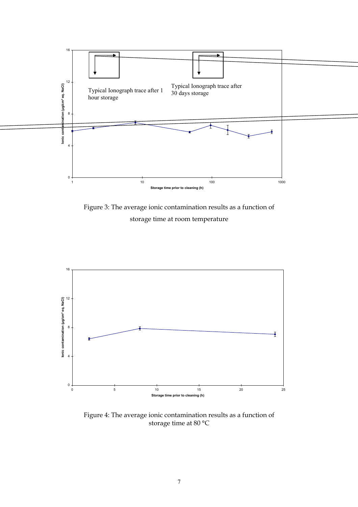

Figure 3: The average ionic contamination results as a function of storage time at room temperature



Figure 4: The average ionic contamination results as a function of storage time at 80 °C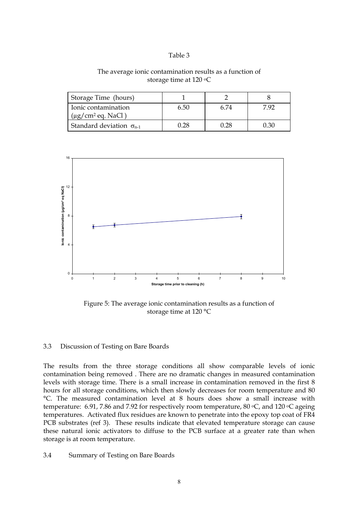#### The average ionic contamination results as a function of storage time at 120 °C

| Storage Time (hours)                                   |      |      |        |
|--------------------------------------------------------|------|------|--------|
| Ionic contamination<br>$(\mu g/cm^2 \text{ eq. NaCl})$ | 6.50 | 6.74 | 7 Q7   |
| Standard deviation $\sigma_{n-1}$                      | 128  | በ 28 | (1.30) |



Figure 5: The average ionic contamination results as a function of storage time at 120 °C

#### 3.3 Discussion of Testing on Bare Boards

The results from the three storage conditions all show comparable levels of ionic contamination being removed . There are no dramatic changes in measured contamination levels with storage time. There is a small increase in contamination removed in the first 8 hours for all storage conditions, which then slowly decreases for room temperature and 80 °C. The measured contamination level at 8 hours does show a small increase with temperature: 6.91, 7.86 and 7.92 for respectively room temperature, 80  $\degree$ C, and 120  $\degree$ C ageing temperatures. Activated flux residues are known to penetrate into the epoxy top coat of FR4 PCB substrates (ref 3). These results indicate that elevated temperature storage can cause these natural ionic activators to diffuse to the PCB surface at a greater rate than when storage is at room temperature.

3.4 Summary of Testing on Bare Boards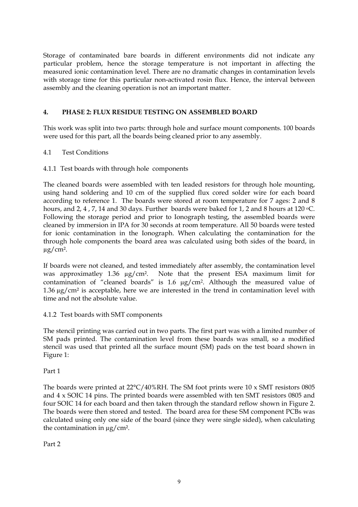Storage of contaminated bare boards in different environments did not indicate any particular problem, hence the storage temperature is not important in affecting the measured ionic contamination level. There are no dramatic changes in contamination levels with storage time for this particular non-activated rosin flux. Hence, the interval between assembly and the cleaning operation is not an important matter.

# **4. PHASE 2: FLUX RESIDUE TESTING ON ASSEMBLED BOARD**

This work was split into two parts: through hole and surface mount components. 100 boards were used for this part, all the boards being cleaned prior to any assembly.

## 4.1 Test Conditions

## 4.1.1 Test boards with through hole components

The cleaned boards were assembled with ten leaded resistors for through hole mounting, using hand soldering and 10 cm of the supplied flux cored solder wire for each board according to reference 1. The boards were stored at room temperature for 7 ages: 2 and 8 hours, and 2, 4, 7, 14 and 30 days. Further boards were baked for 1, 2 and 8 hours at 120 °C. Following the storage period and prior to Ionograph testing, the assembled boards were cleaned by immersion in IPA for 30 seconds at room temperature. All 50 boards were tested for ionic contamination in the Ionograph. When calculating the contamination for the through hole components the board area was calculated using both sides of the board, in  $\mu$ g/cm<sup>2</sup>.

If boards were not cleaned, and tested immediately after assembly, the contamination level was approximatley 1.36  $\mu$ g/cm<sup>2</sup>. Note that the present ESA maximum limit for contamination of "cleaned boards" is 1.6 µg/cm2. Although the measured value of 1.36 µg/cm² is acceptable, here we are interested in the trend in contamination level with time and not the absolute value.

## 4.1.2 Test boards with SMT components

The stencil printing was carried out in two parts. The first part was with a limited number of SM pads printed. The contamination level from these boards was small, so a modified stencil was used that printed all the surface mount (SM) pads on the test board shown in Figure 1:

Part 1

The boards were printed at 22°C/40%RH. The SM foot prints were 10 x SMT resistors 0805 and 4 x SOIC 14 pins. The printed boards were assembled with ten SMT resistors 0805 and four SOIC 14 for each board and then taken through the standard reflow shown in Figure 2. The boards were then stored and tested. The board area for these SM component PCBs was calculated using only one side of the board (since they were single sided), when calculating the contamination in  $\mu$ g/cm<sup>2</sup>.

Part 2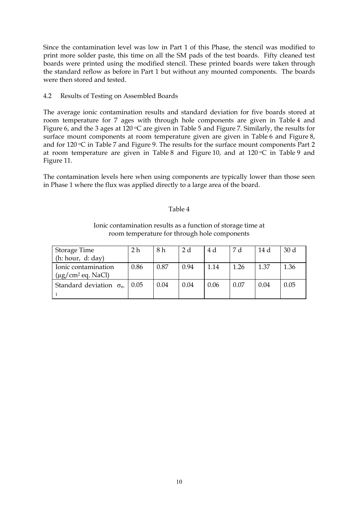Since the contamination level was low in Part 1 of this Phase, the stencil was modified to print more solder paste, this time on all the SM pads of the test boards. Fifty cleaned test boards were printed using the modified stencil. These printed boards were taken through the standard reflow as before in Part 1 but without any mounted components. The boards were then stored and tested.

4.2 Results of Testing on Assembled Boards

The average ionic contamination results and standard deviation for five boards stored at room temperature for 7 ages with through hole components are given in Table 4 and Figure 6, and the 3 ages at 120 °C are given in Table 5 and Figure 7. Similarly, the results for surface mount components at room temperature given are given in Table 6 and Figure 8, and for  $120 \, \textdegree$ C in Table 7 and Figure 9. The results for the surface mount components Part 2 at room temperature are given in Table 8 and Figure 10, and at  $120 °C$  in Table 9 and Figure 11.

The contamination levels here when using components are typically lower than those seen in Phase 1 where the flux was applied directly to a large area of the board.

#### Table 4

#### Ionic contamination results as a function of storage time at room temperature for through hole components

| Storage Time                    | 2 h  | 8 h  | 2 d  | 4 d  | 7 d  | 14 d | 30 <sub>d</sub> |
|---------------------------------|------|------|------|------|------|------|-----------------|
| (h: hour, d: day)               |      |      |      |      |      |      |                 |
| Ionic contamination             | 0.86 | 0.87 | 0.94 | 1.14 | 1.26 | 1.37 | 1.36            |
| $(\mu g/cm^2 \text{ eq. NaCl})$ |      |      |      |      |      |      |                 |
| Standard deviation $\sigma_{n}$ | 0.05 | 0.04 | 0.04 | 0.06 | 0.07 | 0.04 | 0.05            |
|                                 |      |      |      |      |      |      |                 |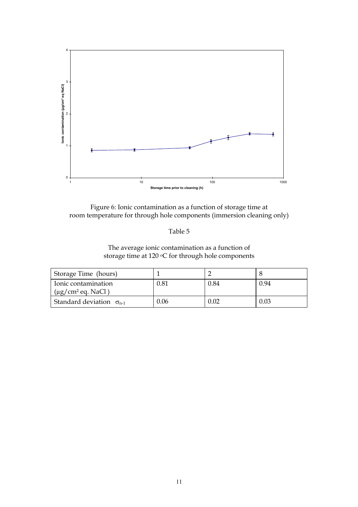

Figure 6: Ionic contamination as a function of storage time at room temperature for through hole components (immersion cleaning only)

# The average ionic contamination as a function of storage time at 120 °C for through hole components

| Storage Time (hours)                           |      |      |      |
|------------------------------------------------|------|------|------|
| Ionic contamination<br>$(\mu g/cm^2$ eq. NaCl) | 0.81 | 0.84 | 0.94 |
| Standard deviation $\sigma_{n-1}$              | 0.06 | 0.02 | 0.03 |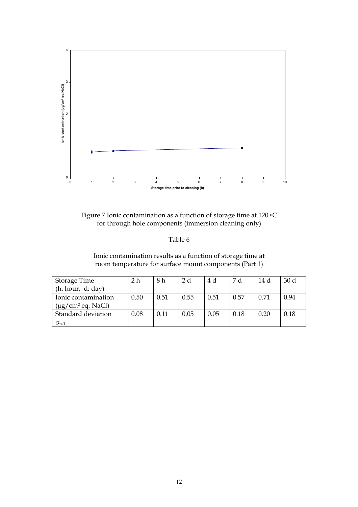

Figure 7 Ionic contamination as a function of storage time at 120 °C for through hole components (immersion cleaning only)

Ionic contamination results as a function of storage time at room temperature for surface mount components (Part 1)

| Storage Time                       | 2 h  | 8 h  | 2 d  | 4 d  | 7 d  | 14 d | 30 <sub>d</sub> |
|------------------------------------|------|------|------|------|------|------|-----------------|
| (h: hour, d: day)                  |      |      |      |      |      |      |                 |
| Ionic contamination                | 0.50 | 0.51 | 0.55 | 0.51 | 0.57 | 0.71 | 0.94            |
| $(\mu$ g/cm <sup>2</sup> eq. NaCl) |      |      |      |      |      |      |                 |
| Standard deviation                 | 0.08 | 0.11 | 0.05 | 0.05 | 0.18 | 0.20 | 0.18            |
| $\sigma_{n-1}$                     |      |      |      |      |      |      |                 |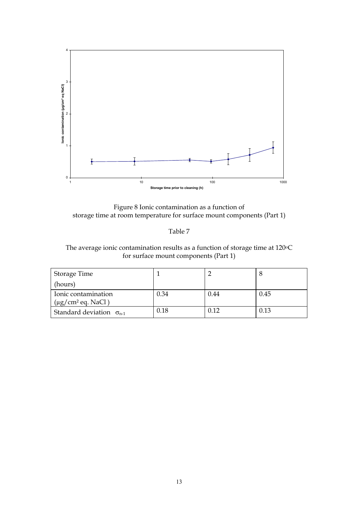

Figure 8 Ionic contamination as a function of storage time at room temperature for surface mount components (Part 1)

The average ionic contamination results as a function of storage time at 120°C for surface mount components (Part 1)

| Storage Time                                              |      |      |      |
|-----------------------------------------------------------|------|------|------|
| (hours)                                                   |      |      |      |
| Ionic contamination<br>$(\mu$ g/cm <sup>2</sup> eq. NaCl) | 0.34 | 0.44 | 0.45 |
| Standard deviation $\sigma_{n-1}$                         | 0.18 | 0.12 | 0.13 |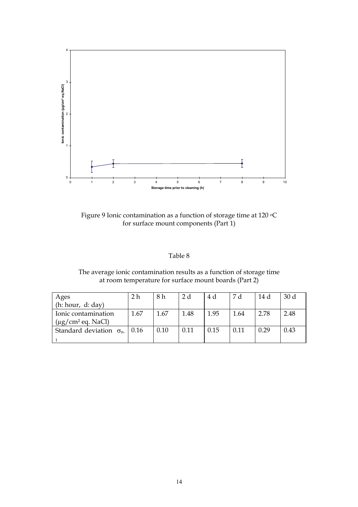

Figure 9 Ionic contamination as a function of storage time at 120  $\rm ^oC$ for surface mount components (Part 1)

| anie |  |
|------|--|
|      |  |

| The average ionic contamination results as a function of storage time |
|-----------------------------------------------------------------------|
| at room temperature for surface mount boards (Part 2)                 |

| Ages                                 | 2 <sub>h</sub> | 8 h  | 2 d  | 4 d  | 7 d   | 14 d | 30 <sub>d</sub> |
|--------------------------------------|----------------|------|------|------|-------|------|-----------------|
| (h: hour, d: day)                    |                |      |      |      |       |      |                 |
| Ionic contamination                  | 1.67           | 1.67 | 1.48 | 1.95 | -1.64 | 2.78 | 2.48            |
| $(\mu g/cm^2 \text{ eq. NaCl})$      |                |      |      |      |       |      |                 |
| Standard deviation $\sigma_{n}$ 0.16 |                | 0.10 | 0.11 | 0.15 | 0.11  | 0.29 | 0.43            |
|                                      |                |      |      |      |       |      |                 |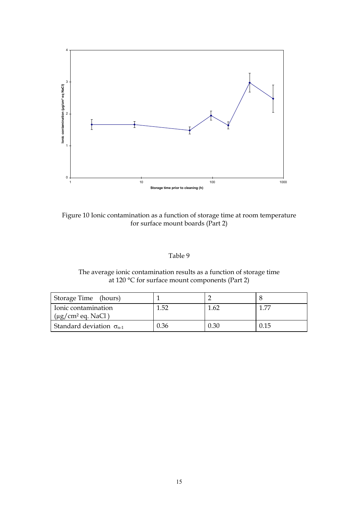

Figure 10 Ionic contamination as a function of storage time at room temperature for surface mount boards (Part 2)

| able |  |
|------|--|
|------|--|

The average ionic contamination results as a function of storage time at 120 °C for surface mount components (Part 2)

| Storage Time (hours)                           |      |      |      |
|------------------------------------------------|------|------|------|
| Ionic contamination<br>$(\mu g/cm^2$ eq. NaCl) | 1.52 | 1.62 | 1.77 |
| Standard deviation $\sigma_{n-1}$              | 0.36 | 0.30 | 0.15 |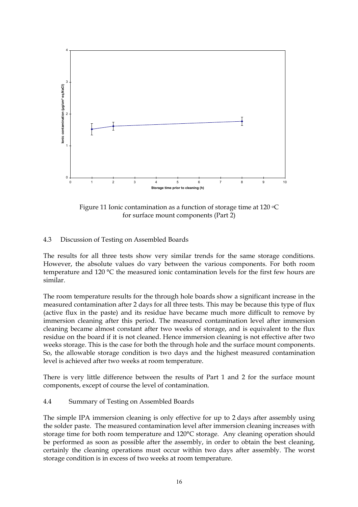

Figure 11 Ionic contamination as a function of storage time at 120 °C for surface mount components (Part 2)

## 4.3 Discussion of Testing on Assembled Boards

The results for all three tests show very similar trends for the same storage conditions. However, the absolute values do vary between the various components. For both room temperature and 120 °C the measured ionic contamination levels for the first few hours are similar.

The room temperature results for the through hole boards show a significant increase in the measured contamination after 2 days for all three tests. This may be because this type of flux (active flux in the paste) and its residue have became much more difficult to remove by immersion cleaning after this period. The measured contamination level after immersion cleaning became almost constant after two weeks of storage, and is equivalent to the flux residue on the board if it is not cleaned. Hence immersion cleaning is not effective after two weeks storage. This is the case for both the through hole and the surface mount components. So, the allowable storage condition is two days and the highest measured contamination level is achieved after two weeks at room temperature.

There is very little difference between the results of Part 1 and 2 for the surface mount components, except of course the level of contamination.

#### 4.4 Summary of Testing on Assembled Boards

The simple IPA immersion cleaning is only effective for up to 2 days after assembly using the solder paste. The measured contamination level after immersion cleaning increases with storage time for both room temperature and 120°C storage. Any cleaning operation should be performed as soon as possible after the assembly, in order to obtain the best cleaning, certainly the cleaning operations must occur within two days after assembly. The worst storage condition is in excess of two weeks at room temperature.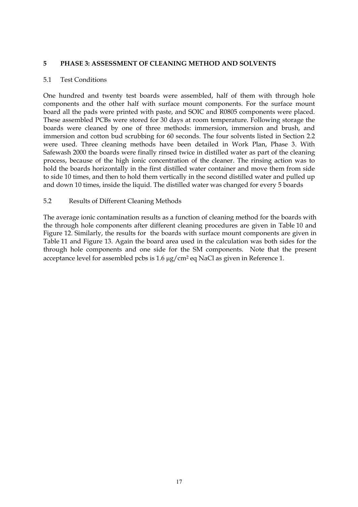#### **5 PHASE 3: ASSESSMENT OF CLEANING METHOD AND SOLVENTS**

#### 5.1 Test Conditions

One hundred and twenty test boards were assembled, half of them with through hole components and the other half with surface mount components. For the surface mount board all the pads were printed with paste, and SOIC and R0805 components were placed. These assembled PCBs were stored for 30 days at room temperature. Following storage the boards were cleaned by one of three methods: immersion, immersion and brush, and immersion and cotton bud scrubbing for 60 seconds. The four solvents listed in Section 2.2 were used. Three cleaning methods have been detailed in Work Plan, Phase 3. With Safewash 2000 the boards were finally rinsed twice in distilled water as part of the cleaning process, because of the high ionic concentration of the cleaner. The rinsing action was to hold the boards horizontally in the first distilled water container and move them from side to side 10 times, and then to hold them vertically in the second distilled water and pulled up and down 10 times, inside the liquid. The distilled water was changed for every 5 boards

#### 5.2 Results of Different Cleaning Methods

The average ionic contamination results as a function of cleaning method for the boards with the through hole components after different cleaning procedures are given in Table 10 and Figure 12. Similarly, the results for the boards with surface mount components are given in Table 11 and Figure 13. Again the board area used in the calculation was both sides for the through hole components and one side for the SM components. Note that the present acceptance level for assembled pcbs is 1.6  $\mu$ g/cm<sup>2</sup> eq NaCl as given in Reference 1.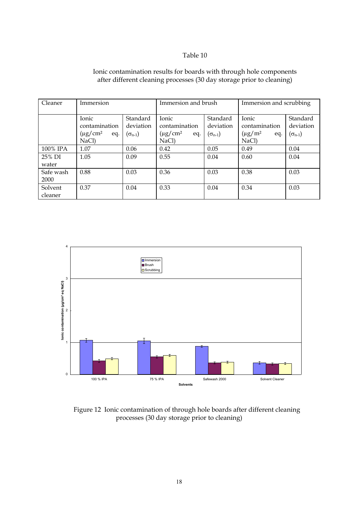| Cleaner            | Immersion                                                |                                           | Immersion and brush                                      |                                           | Immersion and scrubbing                                 |                                           |
|--------------------|----------------------------------------------------------|-------------------------------------------|----------------------------------------------------------|-------------------------------------------|---------------------------------------------------------|-------------------------------------------|
|                    | Ionic<br>contamination<br>$(\mu g/cm^2)$<br>eq.<br>NaCl) | Standard<br>deviation<br>$(\sigma_{n-1})$ | Ionic<br>contamination<br>$(\mu g/cm^2)$<br>eq.<br>NaCl) | Standard<br>deviation<br>$(\sigma_{n-1})$ | Ionic<br>contamination<br>$(\mu g/m^2)$<br>eq.<br>NaCl) | Standard<br>deviation<br>$(\sigma_{n-1})$ |
| 100% IPA           | 1.07                                                     | 0.06                                      | 0.42                                                     | 0.05                                      | 0.49                                                    | 0.04                                      |
| 25% DI<br>water    | 1.05                                                     | 0.09                                      | 0.55                                                     | 0.04                                      | 0.60                                                    | 0.04                                      |
| Safe wash<br>2000  | 0.88                                                     | 0.03                                      | 0.36                                                     | 0.03                                      | 0.38                                                    | 0.03                                      |
| Solvent<br>cleaner | 0.37                                                     | 0.04                                      | 0.33                                                     | 0.04                                      | 0.34                                                    | 0.03                                      |

# Ionic contamination results for boards with through hole components after different cleaning processes (30 day storage prior to cleaning)



Figure 12 Ionic contamination of through hole boards after different cleaning processes (30 day storage prior to cleaning)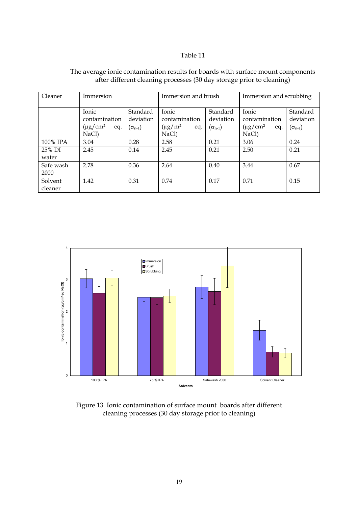| Cleaner            | Immersion                                                |                                           | Immersion and brush                                     |                                           | Immersion and scrubbing                                     |                                           |
|--------------------|----------------------------------------------------------|-------------------------------------------|---------------------------------------------------------|-------------------------------------------|-------------------------------------------------------------|-------------------------------------------|
|                    | Ionic<br>contamination<br>$(\mu g/cm^2)$<br>eq.<br>NaCl) | Standard<br>deviation<br>$(\sigma_{n-1})$ | Ionic<br>contamination<br>$(\mu g/m^2)$<br>eq.<br>NaCl) | Standard<br>deviation<br>$(\sigma_{n-1})$ | Ionic<br>contamination<br>$(\mu g/cm^2)$<br>eq.<br>$NaCl$ ) | Standard<br>deviation<br>$(\sigma_{n-1})$ |
| 100% IPA           | 3.04                                                     | 0.28                                      | 2.58                                                    | 0.21                                      | 3.06                                                        | 0.24                                      |
| 25% DI<br>water    | 2.45                                                     | 0.14                                      | 2.45                                                    | 0.21                                      | 2.50                                                        | 0.21                                      |
| Safe wash<br>2000  | 2.78                                                     | 0.36                                      | 2.64                                                    | 0.40                                      | 3.44                                                        | 0.67                                      |
| Solvent<br>cleaner | 1.42                                                     | 0.31                                      | 0.74                                                    | 0.17                                      | 0.71                                                        | 0.15                                      |

# The average ionic contamination results for boards with surface mount components after different cleaning processes (30 day storage prior to cleaning)



Figure 13 Ionic contamination of surface mount boards after different cleaning processes (30 day storage prior to cleaning)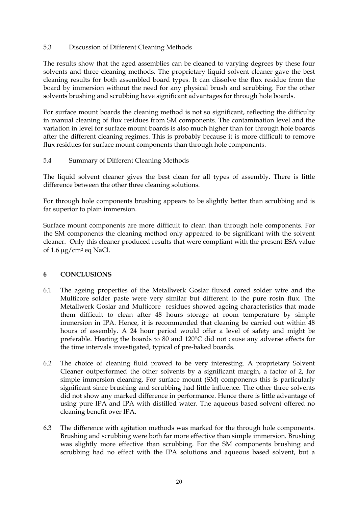## 5.3 Discussion of Different Cleaning Methods

The results show that the aged assemblies can be cleaned to varying degrees by these four solvents and three cleaning methods. The proprietary liquid solvent cleaner gave the best cleaning results for both assembled board types. It can dissolve the flux residue from the board by immersion without the need for any physical brush and scrubbing. For the other solvents brushing and scrubbing have significant advantages for through hole boards.

For surface mount boards the cleaning method is not so significant, reflecting the difficulty in manual cleaning of flux residues from SM components. The contamination level and the variation in level for surface mount boards is also much higher than for through hole boards after the different cleaning regimes. This is probably because it is more difficult to remove flux residues for surface mount components than through hole components.

## 5.4 Summary of Different Cleaning Methods

The liquid solvent cleaner gives the best clean for all types of assembly. There is little difference between the other three cleaning solutions.

For through hole components brushing appears to be slightly better than scrubbing and is far superior to plain immersion.

Surface mount components are more difficult to clean than through hole components. For the SM components the cleaning method only appeared to be significant with the solvent cleaner. Only this cleaner produced results that were compliant with the present ESA value of  $1.6 \mu$ g/cm<sup>2</sup> eq NaCl.

## **6 CONCLUSIONS**

- 6.1 The ageing properties of the Metallwerk Goslar fluxed cored solder wire and the Multicore solder paste were very similar but different to the pure rosin flux. The Metallwerk Goslar and Multicore residues showed ageing characteristics that made them difficult to clean after 48 hours storage at room temperature by simple immersion in IPA. Hence, it is recommended that cleaning be carried out within 48 hours of assembly. A 24 hour period would offer a level of safety and might be preferable. Heating the boards to 80 and 120°C did not cause any adverse effects for the time intervals investigated, typical of pre-baked boards.
- 6.2 The choice of cleaning fluid proved to be very interesting. A proprietary Solvent Cleaner outperformed the other solvents by a significant margin, a factor of 2, for simple immersion cleaning. For surface mount (SM) components this is particularly significant since brushing and scrubbing had little influence. The other three solvents did not show any marked difference in performance. Hence there is little advantage of using pure IPA and IPA with distilled water. The aqueous based solvent offered no cleaning benefit over IPA.
- 6.3 The difference with agitation methods was marked for the through hole components. Brushing and scrubbing were both far more effective than simple immersion. Brushing was slightly more effective than scrubbing. For the SM components brushing and scrubbing had no effect with the IPA solutions and aqueous based solvent, but a